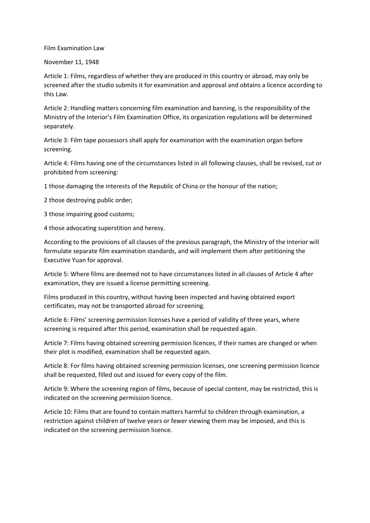## Film Examination Law

## November 11, 1948

Article 1: Films, regardless of whether they are produced in this country or abroad, may only be screened after the studio submits it for examination and approval and obtains a licence according to this Law.

Article 2: Handling matters concerning film examination and banning, is the responsibility of the Ministry of the Interior's Film Examination Office, its organization regulations will be determined separately.

Article 3: Film tape possessors shall apply for examination with the examination organ before screening.

Article 4: Films having one of the circumstances listed in all following clauses, shall be revised, cut or prohibited from screening:

1 those damaging the interests of the Republic of China or the honour of the nation;

2 those destroying public order;

3 those impairing good customs;

4 those advocating superstition and heresy.

According to the provisions of all clauses of the previous paragraph, the Ministry of the Interior will formulate separate film examination standards, and will implement them after petitioning the Executive Yuan for approval.

Article 5: Where films are deemed not to have circumstances listed in all clauses of Article 4 after examination, they are issued a license permitting screening.

Films produced in this country, without having been inspected and having obtained export certificates, may not be transported abroad for screening.

Article 6: Films' screening permission licenses have a period of validity of three years, where screening is required after this period, examination shall be requested again.

Article 7: Films having obtained screening permission licences, if their names are changed or when their plot is modified, examination shall be requested again.

Article 8: For films having obtained screening permission licenses, one screening permission licence shall be requested, filled out and issued for every copy of the film.

Article 9: Where the screening region of films, because of special content, may be restricted, this is indicated on the screening permission licence.

Article 10: Films that are found to contain matters harmful to children through examination, a restriction against children of twelve years or fewer viewing them may be imposed, and this is indicated on the screening permission licence.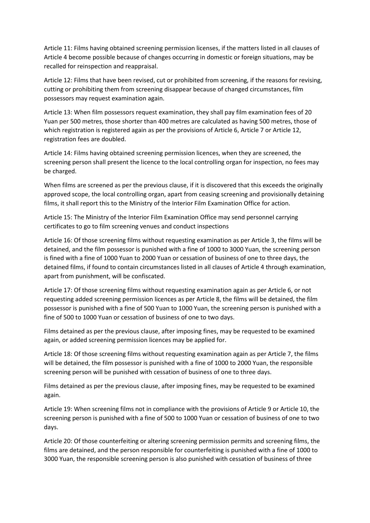Article 11: Films having obtained screening permission licenses, if the matters listed in all clauses of Article 4 become possible because of changes occurring in domestic or foreign situations, may be recalled for reinspection and reappraisal.

Article 12: Films that have been revised, cut or prohibited from screening, if the reasons for revising, cutting or prohibiting them from screening disappear because of changed circumstances, film possessors may request examination again.

Article 13: When film possessors request examination, they shall pay film examination fees of 20 Yuan per 500 metres, those shorter than 400 metres are calculated as having 500 metres, those of which registration is registered again as per the provisions of Article 6, Article 7 or Article 12, registration fees are doubled.

Article 14: Films having obtained screening permission licences, when they are screened, the screening person shall present the licence to the local controlling organ for inspection, no fees may be charged.

When films are screened as per the previous clause, if it is discovered that this exceeds the originally approved scope, the local controlling organ, apart from ceasing screening and provisionally detaining films, it shall report this to the Ministry of the Interior Film Examination Office for action.

Article 15: The Ministry of the Interior Film Examination Office may send personnel carrying certificates to go to film screening venues and conduct inspections

Article 16: Of those screening films without requesting examination as per Article 3, the films will be detained, and the film possessor is punished with a fine of 1000 to 3000 Yuan, the screening person is fined with a fine of 1000 Yuan to 2000 Yuan or cessation of business of one to three days, the detained films, if found to contain circumstances listed in all clauses of Article 4 through examination, apart from punishment, will be confiscated.

Article 17: Of those screening films without requesting examination again as per Article 6, or not requesting added screening permission licences as per Article 8, the films will be detained, the film possessor is punished with a fine of 500 Yuan to 1000 Yuan, the screening person is punished with a fine of 500 to 1000 Yuan or cessation of business of one to two days.

Films detained as per the previous clause, after imposing fines, may be requested to be examined again, or added screening permission licences may be applied for.

Article 18: Of those screening films without requesting examination again as per Article 7, the films will be detained, the film possessor is punished with a fine of 1000 to 2000 Yuan, the responsible screening person will be punished with cessation of business of one to three days.

Films detained as per the previous clause, after imposing fines, may be requested to be examined again.

Article 19: When screening films not in compliance with the provisions of Article 9 or Article 10, the screening person is punished with a fine of 500 to 1000 Yuan or cessation of business of one to two days.

Article 20: Of those counterfeiting or altering screening permission permits and screening films, the films are detained, and the person responsible for counterfeiting is punished with a fine of 1000 to 3000 Yuan, the responsible screening person is also punished with cessation of business of three